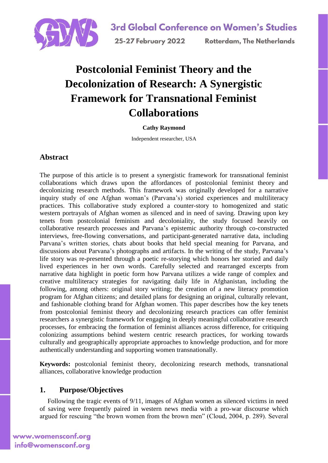

# **Postcolonial Feminist Theory and the Decolonization of Research: A Synergistic Framework for Transnational Feminist Collaborations**

### **Cathy Raymond**

Independent researcher, USA

### **Abstract**

The purpose of this article is to present a synergistic framework for transnational feminist collaborations which draws upon the affordances of postcolonial feminist theory and decolonizing research methods. This framework was originally developed for a narrative inquiry study of one Afghan woman's (Parvana's) storied experiences and multiliteracy practices. This collaborative study explored a counter-story to homogenized and static western portrayals of Afghan women as silenced and in need of saving. Drawing upon key tenets from postcolonial feminism and decoloniality, the study focused heavily on collaborative research processes and Parvana's epistemic authority through co-constructed interviews, free-flowing conversations, and participant-generated narrative data, including Parvana's written stories, chats about books that held special meaning for Parvana, and discussions about Parvana's photographs and artifacts. In the writing of the study, Parvana's life story was re-presented through a poetic re-storying which honors her storied and daily lived experiences in her own words. Carefully selected and rearranged excerpts from narrative data highlight in poetic form how Parvana utilizes a wide range of complex and creative multiliteracy strategies for navigating daily life in Afghanistan, including the following, among others: original story writing; the creation of a new literacy promotion program for Afghan citizens; and detailed plans for designing an original, culturally relevant, and fashionable clothing brand for Afghan women. This paper describes how the key tenets from postcolonial feminist theory and decolonizing research practices can offer feminist researchers a synergistic framework for engaging in deeply meaningful collaborative research processes, for embracing the formation of feminist alliances across difference, for critiquing colonizing assumptions behind western centric research practices, for working towards culturally and geographically appropriate approaches to knowledge production, and for more authentically understanding and supporting women transnationally.

**Keywords:** postcolonial feminist theory, decolonizing research methods, transnational alliances, collaborative knowledge production

### **1. Purpose/Objectives**

Following the tragic events of 9/11, images of Afghan women as silenced victims in need of saving were frequently paired in western news media with a pro-war discourse which argued for rescuing "the brown women from the brown men" (Cloud, 2004, p. 289). Several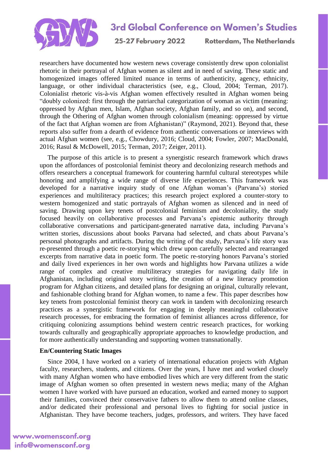

25-27 February 2022

**Rotterdam. The Netherlands** 

researchers have documented how western news coverage consistently drew upon colonialist rhetoric in their portrayal of Afghan women as silent and in need of saving. These static and homogenized images offered limited nuance in terms of authenticity, agency, ethnicity, language, or other individual characteristics (see, e.g., Cloud, 2004; Terman, 2017). Colonialist rhetoric vis-à-vis Afghan women effectively resulted in Afghan women being "doubly colonized: first through the patriarchal categorization of woman as victim (meaning: oppressed by Afghan men, Islam, Afghan society, Afghan family, and so on), and second, through the Othering of Afghan women through colonialism (meaning: oppressed by virtue of the fact that Afghan women are from Afghanistan)" (Raymond, 2021). Beyond that, these reports also suffer from a dearth of evidence from authentic conversations or interviews with actual Afghan women (see, e.g., Chowdury, 2016; Cloud, 2004; Fowler, 2007; MacDonald, 2016; Rasul & McDowell, 2015; Terman, 2017; Zeiger, 2011).

The purpose of this article is to present a synergistic research framework which draws upon the affordances of postcolonial feminist theory and decolonizing research methods and offers researchers a conceptual framework for countering harmful cultural stereotypes while honoring and amplifying a wide range of diverse life experiences. This framework was developed for a narrative inquiry study of one Afghan woman's (Parvana's) storied experiences and multiliteracy practices; this research project explored a counter-story to western homogenized and static portrayals of Afghan women as silenced and in need of saving. Drawing upon key tenets of postcolonial feminism and decoloniality, the study focused heavily on collaborative processes and Parvana's epistemic authority through collaborative conversations and participant-generated narrative data, including Parvana's written stories, discussions about books Parvana had selected, and chats about Parvana's personal photographs and artifacts. During the writing of the study, Parvana's life story was re-presented through a poetic re-storying which drew upon carefully selected and rearranged excerpts from narrative data in poetic form. The poetic re-storying honors Parvana's storied and daily lived experiences in her own words and highlights how Parvana utilizes a wide range of complex and creative multiliteracy strategies for navigating daily life in Afghanistan, including original story writing, the creation of a new literacy promotion program for Afghan citizens, and detailed plans for designing an original, culturally relevant, and fashionable clothing brand for Afghan women, to name a few. This paper describes how key tenets from postcolonial feminist theory can work in tandem with decolonizing research practices as a synergistic framework for engaging in deeply meaningful collaborative research processes, for embracing the formation of feminist alliances across difference, for critiquing colonizing assumptions behind western centric research practices, for working towards culturally and geographically appropriate approaches to knowledge production, and for more authentically understanding and supporting women transnationally.

#### **En/Countering Static Images**

Since 2004, I have worked on a variety of international education projects with Afghan faculty, researchers, students, and citizens. Over the years, I have met and worked closely with many Afghan women who have embodied lives which are very different from the static image of Afghan women so often presented in western news media; many of the Afghan women I have worked with have pursued an education, worked and earned money to support their families, convinced their conservative fathers to allow them to attend online classes, and/or dedicated their professional and personal lives to fighting for social justice in Afghanistan. They have become teachers, judges, professors, and writers. They have faced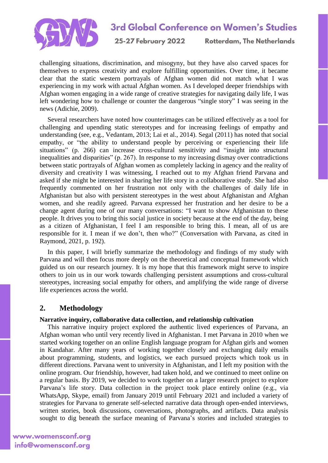

25-27 February 2022

**Rotterdam. The Netherlands** 

challenging situations, discrimination, and misogyny, but they have also carved spaces for themselves to express creativity and explore fulfilling opportunities. Over time, it became clear that the static western portrayals of Afghan women did not match what I was experiencing in my work with actual Afghan women. As I developed deeper friendships with Afghan women engaging in a wide range of creative strategies for navigating daily life, I was left wondering how to challenge or counter the dangerous "single story" I was seeing in the news (Adichie, 2009).

Several researchers have noted how counterimages can be utilized effectively as a tool for challenging and upending static stereotypes and for increasing feelings of empathy and understanding (see, e.g., Vedantam, 2013; Lai et al., 2014). Segal (2011) has noted that social empathy, or "the ability to understand people by perceiving or experiencing their life situations" (p. 266) can increase cross-cultural sensitivity and "insight into structural inequalities and disparities" (p. 267). In response to my increasing dismay over contradictions between static portrayals of Afghan women as completely lacking in agency and the reality of diversity and creativity I was witnessing, I reached out to my Afghan friend Parvana and asked if she might be interested in sharing her life story in a collaborative study. She had also frequently commented on her frustration not only with the challenges of daily life in Afghanistan but also with persistent stereotypes in the west about Afghanistan and Afghan women, and she readily agreed. Parvana expressed her frustration and her desire to be a change agent during one of our many conversations: "I want to show Afghanistan to these people. It drives you to bring this social justice in society because at the end of the day, being as a citizen of Afghanistan, I feel I am responsible to bring this. I mean, all of us are responsible for it. I mean if we don't, then who?" (Conversation with Parvana, as cited in Raymond, 2021, p. 192).

In this paper, I will briefly summarize the methodology and findings of my study with Parvana and will then focus more deeply on the theoretical and conceptual framework which guided us on our research journey. It is my hope that this framework might serve to inspire others to join us in our work towards challenging persistent assumptions and cross-cultural stereotypes, increasing social empathy for others, and amplifying the wide range of diverse life experiences across the world.

### **2. Methodology**

#### **Narrative inquiry, collaborative data collection, and relationship cultivation**

This narrative inquiry project explored the authentic lived experiences of Parvana, an Afghan woman who until very recently lived in Afghanistan. I met Parvana in 2010 when we started working together on an online English language program for Afghan girls and women in Kandahar. After many years of working together closely and exchanging daily emails about programming, students, and logistics, we each pursued projects which took us in different directions. Parvana went to university in Afghanistan, and I left my position with the online program. Our friendship, however, had taken hold, and we continued to meet online on a regular basis. By 2019, we decided to work together on a larger research project to explore Parvana's life story. Data collection in the project took place entirely online (e.g., via WhatsApp, Skype, email) from January 2019 until February 2021 and included a variety of strategies for Parvana to generate self-selected narrative data through open-ended interviews, written stories, book discussions, conversations, photographs, and artifacts. Data analysis sought to dig beneath the surface meaning of Parvana's stories and included strategies to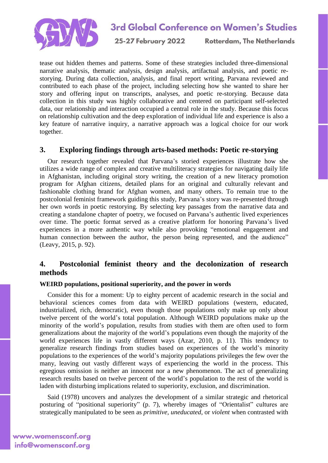

25-27 February 2022

**Rotterdam. The Netherlands** 

tease out hidden themes and patterns. Some of these strategies included three-dimensional narrative analysis, thematic analysis, design analysis, artifactual analysis, and poetic restorying. During data collection, analysis, and final report writing, Parvana reviewed and contributed to each phase of the project, including selecting how she wanted to share her story and offering input on transcripts, analyses, and poetic re-storying. Because data collection in this study was highly collaborative and centered on participant self-selected data, our relationship and interaction occupied a central role in the study. Because this focus on relationship cultivation and the deep exploration of individual life and experience is also a key feature of narrative inquiry, a narrative approach was a logical choice for our work together.

### **3. Exploring findings through arts-based methods: Poetic re-storying**

Our research together revealed that Parvana's storied experiences illustrate how she utilizes a wide range of complex and creative multiliteracy strategies for navigating daily life in Afghanistan, including original story writing, the creation of a new literacy promotion program for Afghan citizens, detailed plans for an original and culturally relevant and fashionable clothing brand for Afghan women, and many others. To remain true to the postcolonial feminist framework guiding this study, Parvana's story was re-presented through her own words in poetic restorying. By selecting key passages from the narrative data and creating a standalone chapter of poetry, we focused on Parvana's authentic lived experiences over time. The poetic format served as a creative platform for honoring Parvana's lived experiences in a more authentic way while also provoking "emotional engagement and human connection between the author, the person being represented, and the audience" (Leavy, 2015, p. 92).

### **4. Postcolonial feminist theory and the decolonization of research methods**

#### **WEIRD populations, positional superiority, and the power in words**

Consider this for a moment: Up to eighty percent of academic research in the social and behavioral sciences comes from data with WEIRD populations (western, educated, industrialized, rich, democratic), even though those populations only make up only about twelve percent of the world's total population. Although WEIRD populations make up the minority of the world's population, results from studies with them are often used to form generalizations about the majority of the world's populations even though the majority of the world experiences life in vastly different ways (Azar, 2010, p. 11). This tendency to generalize research findings from studies based on experiences of the world's minority populations to the experiences of the world's majority populations privileges the few over the many, leaving out vastly different ways of experiencing the world in the process. This egregious omission is neither an innocent nor a new phenomenon. The act of generalizing research results based on twelve percent of the world's population to the rest of the world is laden with disturbing implications related to superiority, exclusion, and discrimination.

Said (1978) uncovers and analyzes the development of a similar strategic and rhetorical posturing of "positional superiority" (p. 7), whereby images of "Orientalist" cultures are strategically manipulated to be seen as *primitive, uneducated*, or *violent* when contrasted with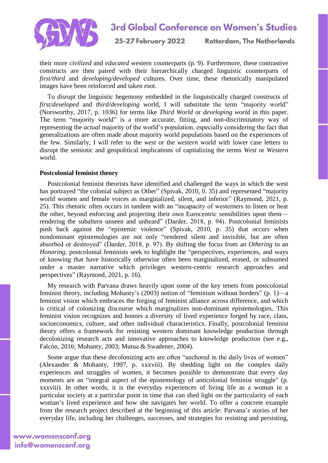

25-27 February 2022 **Rotterdam. The Netherlands** 

their more *civilized* and *educated* western counterparts (p. 9). Furthermore, these contrastive constructs are then paired with their hierarchically charged linguistic counterparts of *first/third* and *developing/developed* cultures. Over time, these rhetorically manipulated images have been reinforced and taken root.

To disrupt the linguistic hegemony embedded in the linguistically charged constructs of *first/developed* and *third/developing* world, I will substitute the term "majority world" (Norsworthy, 2017, p. 1036) for terms like *Third World* or *developing world* in this paper. The term "majority world" is a more accurate, fitting, and non-discriminatory way of representing the *actual* majority of the world's population, especially considering the fact that generalizations are often made about majority world populations based on the experiences of the few. Similarly, I will refer to the *west* or the *western* world with lower case letters to disrupt the semiotic and geopolitical implications of capitalizing the terms *West* or *Western* world.

#### **Postcolonial feminist theory**

Postcolonial feminist theorists have identified and challenged the ways in which the west has portrayed "the colonial subject as Other" (Spivak, 2010, 0. 35) and represented "majority world women and female voices as marginalized, silent, and inferior" (Raymond, 2021, p. 25). This rhetoric often occurs in tandem with an "incapacity of westerners to listen or hear the other, beyond enforcing and projecting their own Eurocentric sensibilities upon them rendering the subaltern unseen and unheard" (Darder, 2018, p. 94). Postcolonial feminists push back against the "epistemic violence" (Spivak, 2010, p. 35) that occurs when nondominant epistemologies are not only "rendered silent and invisible, but are often absorbed or destroyed" (Darder, 2018, p. 97). By shifting the focus from an *Othering* to an *Honoring*, postcolonial feminists seek to highlight the "perspectives, experiences, and ways of knowing that have historically otherwise often been marginalized, erased, or subsumed under a master narrative which privileges western-centric research approaches and perspectives" (Raymond, 2021, p. 16).

My research with Parvana draws heavily upon some of the key tenets from postcolonial feminist theory, including Mohanty's (2003) notion of "feminism without borders" (p. 1)—a feminist vision which embraces the forging of feminist alliance across difference, and which is critical of colonizing discourse which marginalizes non-dominant epistemologies. This feminist vision recognizes and honors a diversity of lived experience forged by race, class, socioeconomics, culture, and other individual characteristics. Finally, postcolonial feminist theory offers a framework for resisting western dominant knowledge production through decolonizing research acts and innovative approaches to knowledge production (see e.g., Falcón, 2016; Mohanty, 2003; Mutua & Swadener, 2004).

Some argue that these decolonizing acts are often "anchored in the daily lives of women" (Alexander & Mohanty, 1997, p. xxxviii). By shedding light on the complex daily experiences and struggles of women, it becomes possible to demonstrate that every day moments are an "integral aspect of the epistemology of anticolonial feminist struggle" (p. xxxviii). In other words, it is the everyday experiences of living life as a woman in a particular society at a particular point in time that can shed light on the particularity of each woman's lived experience and how she navigates her world. To offer a concrete example from the research project described at the beginning of this article: Parvana's stories of her everyday life, including her challenges, successes, and strategies for resisting and persisting,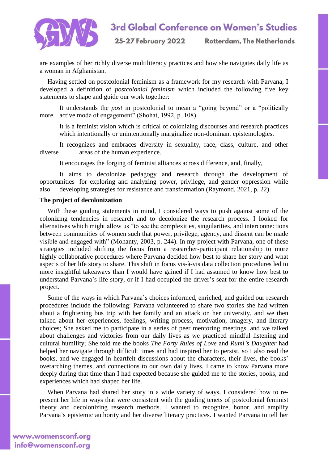

25-27 February 2022

**Rotterdam. The Netherlands** 

are examples of her richly diverse multiliteracy practices and how she navigates daily life as a woman in Afghanistan.

Having settled on postcolonial feminism as a framework for my research with Parvana, I developed a definition of *postcolonial feminism* which included the following five key statements to shape and guide our work together:

It understands the *post* in postcolonial to mean a "going beyond" or a "politically more active mode of engagement" (Shohat, 1992, p. 108).

It is a feminist vision which is critical of colonizing discourses and research practices which intentionally or unintentionally marginalize non-dominant epistemologies.

It recognizes and embraces diversity in sexuality, race, class, culture, and other diverse areas of the human experience.

It encourages the forging of feminist alliances across difference, and, finally,

It aims to decolonize pedagogy and research through the development of opportunities for exploring and analyzing power, privilege, and gender oppression while also developing strategies for resistance and transformation (Raymond, 2021, p. 22).

#### **The project of decolonization**

With these guiding statements in mind, I considered ways to push against some of the colonizing tendencies in research and to decolonize the research process. I looked for alternatives which might allow us "to see the complexities, singularities, and interconnections between communities of women such that power, privilege, agency, and dissent can be made visible and engaged with" (Mohanty, 2003, p. 244). In my project with Parvana, one of these strategies included shifting the focus from a researcher-participant relationship to more highly collaborative procedures where Parvana decided how best to share her story and what aspects of her life story to share. This shift in focus vis-à-vis data collection procedures led to more insightful takeaways than I would have gained if I had assumed to know how best to understand Parvana's life story, or if I had occupied the driver's seat for the entire research project.

Some of the ways in which Parvana's choices informed, enriched, and guided our research procedures include the following: Parvana volunteered to share two stories she had written about a frightening bus trip with her family and an attack on her university, and we then talked about her experiences, feelings, writing process, motivation, imagery, and literary choices; She asked me to participate in a series of peer mentoring meetings, and we talked about challenges and victories from our daily lives as we practiced mindful listening and cultural humility; She told me the books *The Forty Rules of Love* and *Rumi's Daughter* had helped her navigate through difficult times and had inspired her to persist, so I also read the books, and we engaged in heartfelt discussions about the characters, their lives, the books' overarching themes, and connections to our own daily lives. I came to know Parvana more deeply during that time than I had expected because she guided me to the stories, books, and experiences which had shaped her life.

When Parvana had shared her story in a wide variety of ways, I considered how to represent her life in ways that were consistent with the guiding tenets of postcolonial feminist theory and decolonizing research methods. I wanted to recognize, honor, and amplify Parvana's epistemic authority and her diverse literacy practices. I wanted Parvana to tell her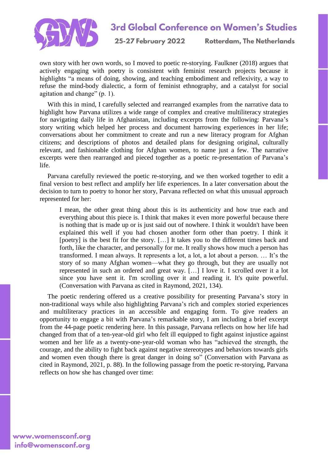

25-27 February 2022 **Rotterdam. The Netherlands** 

own story with her own words, so I moved to poetic re-storying. Faulkner (2018) argues that actively engaging with poetry is consistent with feminist research projects because it highlights "a means of doing, showing, and teaching embodiment and reflexivity, a way to refuse the mind-body dialectic, a form of feminist ethnography, and a catalyst for social agitation and change" (p. 1).

With this in mind, I carefully selected and rearranged examples from the narrative data to highlight how Parvana utilizes a wide range of complex and creative multiliteracy strategies for navigating daily life in Afghanistan, including excerpts from the following: Parvana's story writing which helped her process and document harrowing experiences in her life; conversations about her commitment to create and run a new literacy program for Afghan citizens; and descriptions of photos and detailed plans for designing original, culturally relevant, and fashionable clothing for Afghan women, to name just a few. The narrative excerpts were then rearranged and pieced together as a poetic re-presentation of Parvana's life.

Parvana carefully reviewed the poetic re-storying, and we then worked together to edit a final version to best reflect and amplify her life experiences. In a later conversation about the decision to turn to poetry to honor her story, Parvana reflected on what this unusual approach represented for her:

I mean, the other great thing about this is its authenticity and how true each and everything about this piece is. I think that makes it even more powerful because there is nothing that is made up or is just said out of nowhere. I think it wouldn't have been explained this well if you had chosen another form other than poetry. I think it [poetry] is the best fit for the story. […] It takes you to the different times back and forth, like the character, and personally for me. It really shows how much a person has transformed. I mean always. It represents a lot, a lot, a lot about a person. … It's the story of so many Afghan women—what they go through, but they are usually not represented in such an ordered and great way. […] I love it. I scrolled over it a lot since you have sent it. I'm scrolling over it and reading it. It's quite powerful. (Conversation with Parvana as cited in Raymond, 2021, 134).

The poetic rendering offered us a creative possibility for presenting Parvana's story in non-traditional ways while also highlighting Parvana's rich and complex storied experiences and multiliteracy practices in an accessible and engaging form. To give readers an opportunity to engage a bit with Parvana's remarkable story, I am including a brief excerpt from the 44-page poetic rendering here. In this passage, Parvana reflects on how her life had changed from that of a ten-year-old girl who felt ill equipped to fight against injustice against women and her life as a twenty-one-year-old woman who has "achieved the strength, the courage, and the ability to fight back against negative stereotypes and behaviors towards girls and women even though there is great danger in doing so" (Conversation with Parvana as cited in Raymond, 2021, p. 88). In the following passage from the poetic re-storying, Parvana reflects on how she has changed over time: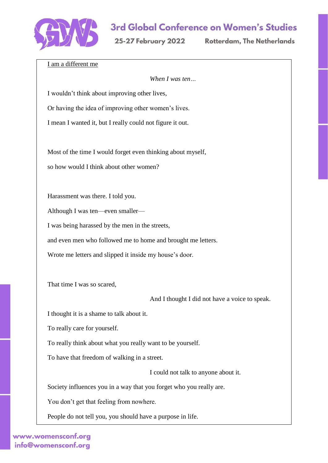

25-27 February 2022

**Rotterdam. The Netherlands** 

I am a different me

*When I was ten…*

I wouldn't think about improving other lives,

Or having the idea of improving other women's lives.

I mean I wanted it, but I really could not figure it out.

Most of the time I would forget even thinking about myself, so how would I think about other women?

Harassment was there. I told you.

Although I was ten—even smaller—

I was being harassed by the men in the streets,

and even men who followed me to home and brought me letters.

Wrote me letters and slipped it inside my house's door.

That time I was so scared,

And I thought I did not have a voice to speak.

I thought it is a shame to talk about it.

To really care for yourself.

To really think about what you really want to be yourself.

To have that freedom of walking in a street.

I could not talk to anyone about it.

Society influences you in a way that you forget who you really are.

You don't get that feeling from nowhere.

People do not tell you, you should have a purpose in life.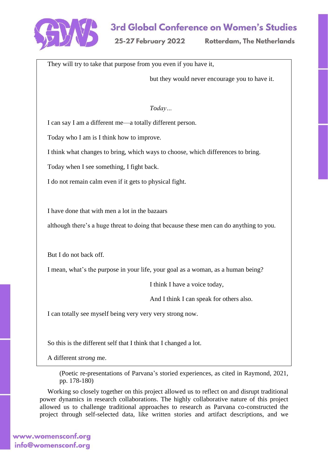

25-27 February 2022

**Rotterdam. The Netherlands** 

They will try to take that purpose from you even if you have it,

but they would never encourage you to have it.

*Today…*

I can say I am a different me—a totally different person.

Today who I am is I think how to improve.

I think what changes to bring, which ways to choose, which differences to bring.

Today when I see something, I fight back.

I do not remain calm even if it gets to physical fight.

I have done that with men a lot in the bazaars

although there's a huge threat to doing that because these men can do anything to you.

But I do not back off.

I mean, what's the purpose in your life, your goal as a woman, as a human being?

I think I have a voice today,

And I think I can speak for others also.

I can totally see myself being very very very strong now.

So this is the different self that I think that I changed a lot.

A different *strong* me.

(Poetic re-presentations of Parvana's storied experiences, as cited in Raymond, 2021, pp. 178-180)

Working so closely together on this project allowed us to reflect on and disrupt traditional power dynamics in research collaborations. The highly collaborative nature of this project allowed us to challenge traditional approaches to research as Parvana co-constructed the project through self-selected data, like written stories and artifact descriptions, and we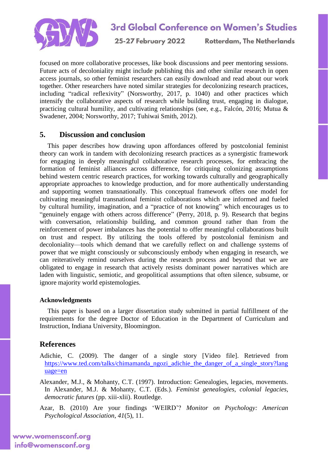

25-27 February 2022

**Rotterdam. The Netherlands** 

focused on more collaborative processes, like book discussions and peer mentoring sessions. Future acts of decoloniality might include publishing this and other similar research in open access journals, so other feminist researchers can easily download and read about our work together. Other researchers have noted similar strategies for decolonizing research practices, including "radical reflexivity" (Norsworthy, 2017, p. 1040) and other practices which intensify the collaborative aspects of research while building trust, engaging in dialogue, practicing cultural humility, and cultivating relationships (see, e.g., Falcón, 2016; Mutua & Swadener, 2004; Norsworthy, 2017; Tuhiwai Smith, 2012).

### **5. Discussion and conclusion**

This paper describes how drawing upon affordances offered by postcolonial feminist theory can work in tandem with decolonizing research practices as a synergistic framework for engaging in deeply meaningful collaborative research processes, for embracing the formation of feminist alliances across difference, for critiquing colonizing assumptions behind western centric research practices, for working towards culturally and geographically appropriate approaches to knowledge production, and for more authentically understanding and supporting women transnationally. This conceptual framework offers one model for cultivating meaningful transnational feminist collaborations which are informed and fueled by cultural humility, imagination, and a "practice of not knowing" which encourages us to "genuinely engage with others across difference" (Perry, 2018, p. 9). Research that begins with conversation, relationship building, and common ground rather than from the reinforcement of power imbalances has the potential to offer meaningful collaborations built on trust and respect. By utilizing the tools offered by postcolonial feminism and decoloniality—tools which demand that we carefully reflect on and challenge systems of power that we might consciously or subconsciously embody when engaging in research, we can reiteratively remind ourselves during the research process and beyond that we are obligated to engage in research that actively resists dominant power narratives which are laden with linguistic, semiotic, and geopolitical assumptions that often silence, subsume, or ignore majority world epistemologies.

#### **Acknowledgments**

This paper is based on a larger dissertation study submitted in partial fulfillment of the requirements for the degree Doctor of Education in the Department of Curriculum and Instruction, Indiana University, Bloomington.

### **References**

Adichie, C. (2009). The danger of a single story [Video file]. Retrieved from [https://www.ted.com/talks/chimamanda\\_ngozi\\_adichie\\_the\\_danger\\_of\\_a\\_single\\_story?lang](https://www.ted.com/talks/chimamanda_ngozi_adichie_the_danger_of_a_single_story?language=en) [uage=en](https://www.ted.com/talks/chimamanda_ngozi_adichie_the_danger_of_a_single_story?language=en)

Alexander, M.J., & Mohanty, C.T. (1997). Introduction: Genealogies, legacies, movements. In Alexander, M.J. & Mohanty, C.T. (Eds.). *Feminist genealogies, colonial legacies, democratic futures* (pp. xiii-xlii). Routledge.

Azar, B. (2010) Are your findings 'WEIRD'? *Monitor on Psychology: American Psychological Association, 41*(5), 11.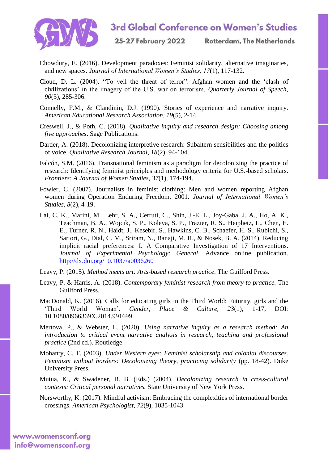

25-27 February 2022 **Rotterdam. The Netherlands** 

- Chowdury, E. (2016). Development paradoxes: Feminist solidarity, alternative imaginaries, and new spaces. *Journal of International Women's Studies, 17*(1), 117-132.
- Cloud, D. L. (2004). "To veil the threat of terror": Afghan women and the 'clash of civilizations' in the imagery of the U.S. war on terrorism. *Quarterly Journal of Speech, 90*(3), 285-306.
- Connelly, F.M., & Clandinin, D.J. (1990). Stories of experience and narrative inquiry. *American Educational Research Association, 19*(5), 2-14.
- Creswell, J., & Poth, C. (2018). *Qualitative inquiry and research design: Choosing among five approaches*. Sage Publications.
- Darder, A. (2018). Decolonizing interpretive research: Subaltern sensibilities and the politics of voice. *Qualitative Research Journal, 18*(2), 94-104.
- Falcón, S.M. (2016). Transnational feminism as a paradigm for decolonizing the practice of research: Identifying feminist principles and methodology criteria for U.S.-based scholars. *Frontiers: A Journal of Women Studies, 37*(1), 174-194.
- Fowler, C. (2007). Journalists in feminist clothing: Men and women reporting Afghan women during Operation Enduring Freedom, 2001. *Journal of International Women's Studies, 8*(2), 4-19.
- Lai, C. K., Marini, M., Lehr, S. A., Cerruti, C., Shin, J.-E. L., Joy-Gaba, J. A., Ho, A. K., Teachman, B. A., Wojcik, S. P., Koleva, S. P., Frazier, R. S., Heiphetz, L., Chen, E. E., Turner, R. N., Haidt, J., Kesebir, S., Hawkins, C. B., Schaefer, H. S., Rubichi, S., Sartori, G., Dial, C. M., Sriram, N., Banaji, M. R., & Nosek, B. A. (2014). Reducing implicit racial preferences: I. A Comparative Investigation of 17 Interventions. *Journal of Experimental Psychology: General*. Advance online publication. <http://dx.doi.org/10.1037/a0036260>
- Leavy, P. (2015). *Method meets art: Arts-based research practice*. The Guilford Press.
- Leavy, P. & Harris, A. (2018). *Contemporary feminist research from theory to practice.* The Guilford Press.
- MacDonald, K. (2016). Calls for educating girls in the Third World: Futurity, girls and the 'Third World Woman'. *Gender, Place & Culture, 23*(1), 1-17, DOI: 10.1080/0966369X.2014.991699
- Mertova, P., & Webster, L. (2020). *Using narrative inquiry as a research method: An introduction to critical event narrative analysis in research, teaching and professional practice* (2nd ed.). Routledge.
- Mohanty, C. T. (2003). *Under Western eyes: Feminist scholarship and colonial discourses. Feminism without borders: Decolonizing theory, practicing solidarity* (pp. 18-42). Duke University Press.
- Mutua, K., & Swadener, B. B. (Eds.) (2004). *Decolonizing research in cross-cultural contexts: Critical personal narratives.* State University of New York Press.
- Norsworthy, K. (2017). Mindful activism: Embracing the complexities of international border crossings. *American Psychologist, 72*(9), 1035-1043.